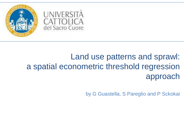

# Land use patterns and sprawl: a spatial econometric threshold regression approach

by G Guastella, S Pareglio and P Sckokai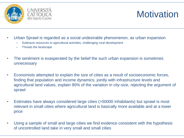

# **Motivation**

- Urban Sprawl is regarded as a social undesirable phenomenon, as urban expansion
	- Subtracts resources to agricultural activities, challenging rural development
	- Threats the landscape
- The sentiment is exasperated by the belief the such urban expansion is sometimes unnecessary
- Economists attempted to explain the size of cities as a result of socioeconomic forces, finding that population and income dynamics, jointly with infrastructure levels and agricultural land values, explain 90% of the variation in city-size, rejecting the argument of sprawl
- Estimates have always considered large cities (>50000 inhabitants) but sprawl is most relevant in small cities where agricultural land is basically more available and at a lower price
- Using a sample of small and large cities we find evidence consistent with the hypothesis of uncontrolled land take in very small and small cities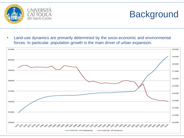

# **Background**

• Land-use dynamics are primarily determined by the socio-economic and environmental forces. In particular, population growth is the main driver of urban expansion.

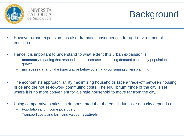

#### UNIVERSITÀ Sacro Cuore

# Background

- However urban expansion has also dramatic consequences for agri-environmental equilibria
- Hence it is important to understand to what extent this urban expansion is
	- **necessary** meaning that responds to the increase in housing demand caused by population growth
	- **unnecessary** land take (speculative behaviours, land-consuming urban planning)
- The economists approach: utility maximizing households face a trade-off between housing price and the house-to-work commuting costs. The equilibrium fringe of the city is set where it is no more convenient for a single household to move far from the city.
- Using comparative statics it s demonstrated that the equilibrium size of a city depends on
	- Population and income **positively**
	- Transport costs and farmland values **negatively**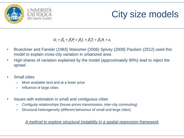

# City size models

- $U_i = \beta_0 + \beta_1 P_i + \beta_2 I_i + \beta_3 T_i + \beta_4 A_i + \varepsilon_i$
- Brueckner and Fansler (1983) Wassmer (2006) Spivey (2008) Paulsen (2012) used this model to explain cross-city variation in urbanized area
- High shares of variation explained by the model (approximately 90%) lead to reject the sprawl
- **Small cities** 
	- More available land and at a lower price
	- Influence of large cities
- Issues with estimation in small and contiguous cities
	- Contiguity relationships (house prices transmission, inter-city commuting)
	- Structural heterogeneity (different behaviour of small and large cities)

*A method to explore structural instability in a spatial regression framework*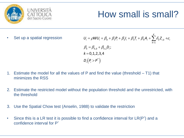

# How small is small?

Set up a spatial regression

$$
U_{i} = \rho W U_{i} + \beta_{0} + \beta_{1} P_{i} + \beta_{2} I_{i} + \beta_{3} T_{i} + \beta_{4} A_{i} + \sum_{k=1}^{K} \delta_{k} Z_{i,k} + \varepsilon_{i}
$$
  
\n
$$
\beta_{k} = \beta_{k,0} + \beta_{k,1} D_{i};
$$
  
\n
$$
k = 0,1,2,3,4
$$
  
\n
$$
D_{i} (P_{i} > P^{*})
$$

- 1. Estimate the model for all the values of P and find the value (threshold T1) that minimizes the RSS
- 2. Estimate the restricted model without the population threshold and the unrestricted, with the threshold
- 3. Use the Spatial Chow test (Anselin, 1988) to validate the restriction
- Since this is a LR test it is possible to find a confidence interval for  $LR(P^*)$  and a confidence interval for P\*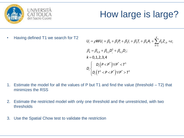

# How large is large?

• Having defined T1 we search for T2

$$
U_{i} = \rho W U_{i} + \beta_{0} + \beta_{1} P_{i} + \beta_{2} I_{i} + \beta_{3} T_{i} + \beta_{4} A_{i} + \sum_{k=1}^{K} \delta_{k} Z_{i,k} + \varepsilon_{i}
$$
  
\n
$$
\beta_{k} = \beta_{k,0} + \beta_{k,1} D_{i}^{1} + \beta_{k,2} D_{i};
$$
  
\n
$$
k = 0,1,2,3,4
$$
  
\n
$$
D_{i} \begin{cases} D_{i} (P < P^{*}) \forall P^{*} < T^{1} \\ D_{i} (T^{1} < P < P^{*}) \forall P^{*} > T^{1} \end{cases}
$$

- 1. Estimate the model for all the values of P but T1 and find the value (threshold T2) that minimizes the RSS
- 2. Estimate the restricted model with only one threshold and the unrestricted, with two thresholds
- 3. Use the Spatial Chow test to validate the restriction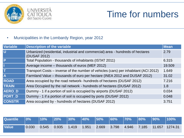



## Time for numbers

• Municipalities in the Lombardy Region, year 2012

| Variable                | <b>Description of the variable</b>                                                             | <b>Mean</b> |
|-------------------------|------------------------------------------------------------------------------------------------|-------------|
| $\overline{\mathsf{U}}$ | Urbanized (residential, industrial and commercial) area - hundreds of hectares<br>(DUSAF 2012) | 2.79        |
| $\overline{P}$          | Total Population - thousands of inhabitants (ISTAT 2011)                                       | 6.315       |
|                         | Average income – thousands of euros (MEF 2012)                                                 | 19.509      |
| T                       | Transport Costs – inverse of the number of vehicles (cars) per inhabitant (ACI 2012)           | 1.649       |
| A                       | Farmland Value – thousands of euro per hectare (INEA 2012 and DUSAF 2012)                      | 31.02       |
| <b>ROAD</b>             | Area occupied by the road network- hundreds of hectares (DUSAF 2012)                           | 7.216       |
| <b>TRAIN</b>            | Area Occupied by the rail network - hundreds of hectares (DUSAF 2012)                          | 1.8         |
| AERO_D                  | Dummy - 1 if a portion of soil is occupied by airports (DUSAF 2012)                            | 0.034       |
| <b>PORT D</b>           | Dummy - 1 if a portion of soil is occupied by ports (DUSAF 2012)                               | 0.048       |
| <b>CONSTR</b>           | Area occupied by - hundreds of hectares (DUSAF 2012)                                           | 3.751       |

| <b>Quantile</b> | $\blacksquare$ 0% $\blacksquare$ |                                                       |       |       | $\vert$ 10% $\vert$ 20% $\vert$ 30% $\vert$ 40% $\vert$ 50% $\vert$ 60% $\vert$ 70% $\vert$ |             | $ 80\% $ $ 90\% $ | $100\%$          |
|-----------------|----------------------------------|-------------------------------------------------------|-------|-------|---------------------------------------------------------------------------------------------|-------------|-------------------|------------------|
| <b>Value</b>    | 0.030                            | $\begin{bmatrix} 0.545 & 0.935 & 1.419 \end{bmatrix}$ | 1.951 | 2.669 | 3.798                                                                                       | 4.946 7.185 |                   | $11.657$ 1274.31 |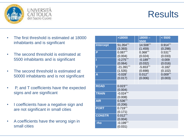



- The first threshold is estimated at 18000 inhabitants and is significant
- The second threshold is estimated at 5500 inhabitants and is significant
- The second threshold is estimated at 50000 inhabitants and is not significant
- P, and T coefficients have the expected signs and are significant
- I coefficients have a negative sign and are not significant in small cities
- A coefficients have the wrong sign in small cities

|                  | >18000       | $18000 -$   | < 5500                |
|------------------|--------------|-------------|-----------------------|
|                  |              | 5500        |                       |
| <b>Intercept</b> | 51.354***    | 14.508***   | $0.914***$            |
|                  | (3.393)      | (1.459)     | (0.298)               |
| P                | $0.087***$   | $0.368***$  | $0.531***$            |
|                  | (0.004)      | (0.024)     | (0.033)               |
|                  | $-0.275***$  | $-0.189***$ | $-0.009$              |
|                  | (0.064)      | (0.032)     | (0.016)               |
| т                | $-21.391***$ | $-5.653***$ | $-0.182$ <sup>*</sup> |
|                  | (1.535)      | (0.698)     | (0.102)               |
| A                | $-0.028$ *   | $0.012**$   | $0.009***$            |
|                  | (0.017)      | (0.006)     | (0.003)               |
|                  |              |             |                       |
| <b>ROAD</b>      | $0.023***$   |             |                       |
|                  | (0.004)      |             |                       |
| <b>TRAIN</b>     | $-0.024***$  |             |                       |
|                  | (0.008)      |             |                       |
| <b>AIR</b>       | $0.536***$   |             |                       |
|                  | (0.206)      |             |                       |
| <b>PORT</b>      | $0.719***$   |             |                       |
|                  | (0.171)      |             |                       |
| <b>CONSTR</b>    | $0.012***$   |             |                       |
|                  | (0.004)      |             |                       |
| rho              | $-0.199***$  |             |                       |
|                  | (0.031)      |             |                       |